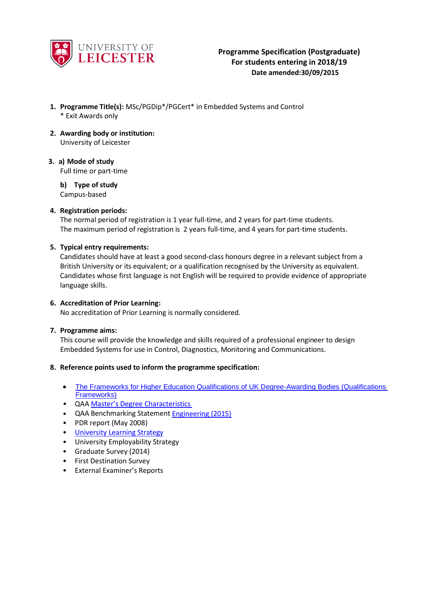

- **1. Programme Title(s):** MSc/PGDip\*/PGCert\* in Embedded Systems and Control \* Exit Awards only
- **2. Awarding body or institution:** University of Leicester
- **3. a) Mode of study** Full time or part-time
	- **b) Type of study** Campus-based

## **4. Registration periods:**

The normal period of registration is 1 year full-time, and 2 years for part-time students. The maximum period of registration is 2 years full-time, and 4 years for part-time students.

### **5. Typical entry requirements:**

Candidates should have at least a good second-class honours degree in a relevant subject from a British University or its equivalent; or a qualification recognised by the University as equivalent. Candidates whose first language is not English will be required to provide evidence of appropriate language skills.

#### **6. Accreditation of Prior Learning:**

No accreditation of Prior Learning is normally considered.

### **7. Programme aims:**

This course will provide the knowledge and skills required of a professional engineer to design Embedded Systems for use in Control, Diagnostics, Monitoring and Communications.

### **8. Reference points used to inform the programme specification:**

- The Frameworks for Higher Education Qualifications of UK Degree-Awarding Bodies (Qualifications [Frameworks\)](http://www.qaa.ac.uk/publications/information-and-guidance/publication?PubID=2843)
- QAA Master's Degree [Characteristics](http://www.qaa.ac.uk/en/Publications/Documents/Masters-Degree-Characteristics-2010.pdf)
- QAA Benchmarking Statemen[t Engineering \(2015\)](http://www.qaa.ac.uk/publications/information-and-guidance/publication?PubID=2910)
- PDR report (May 2008)
- University [Learning Strategy](http://www2.le.ac.uk/offices/sas2/quality/learnteach)
- University Employability Strategy
- Graduate Survey (2014)
- First Destination Survey
- External Examiner's Reports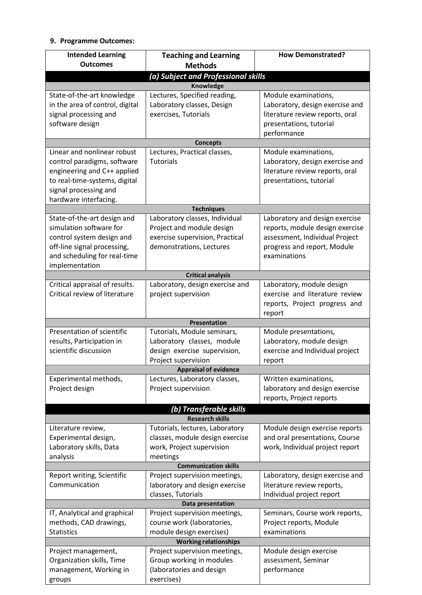# **9. Programme Outcomes:**

| <b>Intended Learning</b>            | <b>Teaching and Learning</b>                                | <b>How Demonstrated?</b>        |  |  |  |  |
|-------------------------------------|-------------------------------------------------------------|---------------------------------|--|--|--|--|
| <b>Outcomes</b>                     | <b>Methods</b>                                              |                                 |  |  |  |  |
| (a) Subject and Professional skills |                                                             |                                 |  |  |  |  |
| Knowledge                           |                                                             |                                 |  |  |  |  |
| State-of-the-art knowledge          | Lectures, Specified reading,                                | Module examinations,            |  |  |  |  |
| in the area of control, digital     | Laboratory classes, Design                                  | Laboratory, design exercise and |  |  |  |  |
| signal processing and               | exercises, Tutorials                                        | literature review reports, oral |  |  |  |  |
| software design                     |                                                             | presentations, tutorial         |  |  |  |  |
|                                     |                                                             | performance                     |  |  |  |  |
| <b>Concepts</b>                     |                                                             |                                 |  |  |  |  |
| Linear and nonlinear robust         | Lectures, Practical classes,                                | Module examinations,            |  |  |  |  |
| control paradigms, software         | <b>Tutorials</b>                                            | Laboratory, design exercise and |  |  |  |  |
| engineering and C++ applied         |                                                             | literature review reports, oral |  |  |  |  |
| to real-time-systems, digital       |                                                             | presentations, tutorial         |  |  |  |  |
| signal processing and               |                                                             |                                 |  |  |  |  |
| hardware interfacing.               |                                                             |                                 |  |  |  |  |
|                                     | <b>Techniques</b>                                           |                                 |  |  |  |  |
| State-of-the-art design and         | Laboratory classes, Individual                              | Laboratory and design exercise  |  |  |  |  |
| simulation software for             | Project and module design                                   | reports, module design exercise |  |  |  |  |
| control system design and           | exercise supervision, Practical                             | assessment, Individual Project  |  |  |  |  |
| off-line signal processing,         | demonstrations, Lectures                                    | progress and report, Module     |  |  |  |  |
| and scheduling for real-time        |                                                             | examinations                    |  |  |  |  |
| implementation                      |                                                             |                                 |  |  |  |  |
| Critical appraisal of results.      | <b>Critical analysis</b><br>Laboratory, design exercise and | Laboratory, module design       |  |  |  |  |
| Critical review of literature       | project supervision                                         | exercise and literature review  |  |  |  |  |
|                                     |                                                             | reports, Project progress and   |  |  |  |  |
|                                     |                                                             | report                          |  |  |  |  |
|                                     | <b>Presentation</b>                                         |                                 |  |  |  |  |
| Presentation of scientific          | Tutorials, Module seminars,                                 | Module presentations,           |  |  |  |  |
| results, Participation in           | Laboratory classes, module                                  | Laboratory, module design       |  |  |  |  |
| scientific discussion               | design exercise supervision,                                | exercise and Individual project |  |  |  |  |
|                                     | Project supervision                                         | report                          |  |  |  |  |
|                                     | <b>Appraisal of evidence</b>                                |                                 |  |  |  |  |
| Experimental methods,               | Lectures, Laboratory classes,                               | Written examinations,           |  |  |  |  |
| Project design                      | Project supervision                                         | laboratory and design exercise  |  |  |  |  |
|                                     |                                                             | reports, Project reports        |  |  |  |  |
| (b) Transferable skills             |                                                             |                                 |  |  |  |  |
|                                     | <b>Research skills</b>                                      |                                 |  |  |  |  |
| Literature review,                  | Tutorials, lectures, Laboratory                             | Module design exercise reports  |  |  |  |  |
| Experimental design,                | classes, module design exercise                             | and oral presentations, Course  |  |  |  |  |
| Laboratory skills, Data             | work, Project supervision                                   | work, Individual project report |  |  |  |  |
| analysis                            | meetings                                                    |                                 |  |  |  |  |
| <b>Communication skills</b>         |                                                             |                                 |  |  |  |  |
| Report writing, Scientific          | Project supervision meetings,                               | Laboratory, design exercise and |  |  |  |  |
| Communication                       | laboratory and design exercise                              | literature review reports,      |  |  |  |  |
|                                     | classes, Tutorials                                          | Individual project report       |  |  |  |  |
| Data presentation                   |                                                             |                                 |  |  |  |  |
| IT, Analytical and graphical        | Project supervision meetings,                               | Seminars, Course work reports,  |  |  |  |  |
| methods, CAD drawings,              | course work (laboratories,                                  | Project reports, Module         |  |  |  |  |
| <b>Statistics</b>                   | module design exercises)                                    | examinations                    |  |  |  |  |
|                                     | <b>Working relationships</b>                                |                                 |  |  |  |  |
| Project management,                 | Project supervision meetings,                               | Module design exercise          |  |  |  |  |
| Organization skills, Time           | Group working in modules                                    | assessment, Seminar             |  |  |  |  |
| management, Working in              | (laboratories and design                                    | performance                     |  |  |  |  |
| groups                              | exercises)                                                  |                                 |  |  |  |  |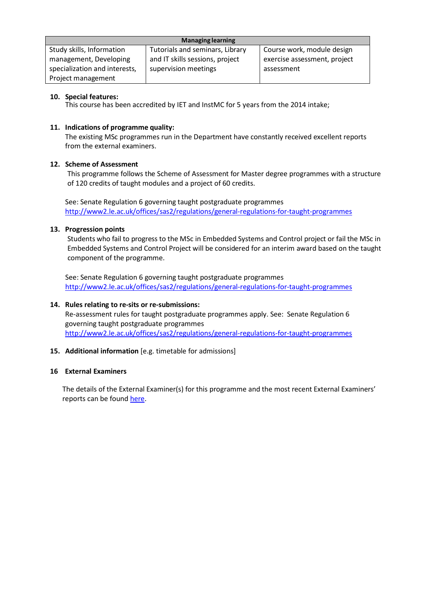| <b>Managing learning</b>      |                                 |                              |  |  |
|-------------------------------|---------------------------------|------------------------------|--|--|
| Study skills, Information     | Tutorials and seminars, Library | Course work, module design   |  |  |
| management, Developing        | and IT skills sessions, project | exercise assessment, project |  |  |
| specialization and interests, | supervision meetings            | assessment                   |  |  |
| Project management            |                                 |                              |  |  |

## **10. Special features:**

This course has been accredited by IET and InstMC for 5 years from the 2014 intake;

## **11. Indications of programme quality:**

The existing MSc programmes run in the Department have constantly received excellent reports from the external examiners.

## **12. Scheme of Assessment**

This programme follows the Scheme of Assessment for Master degree programmes with a structure of 120 credits of taught modules and a project of 60 credits.

See: Senate Regulation 6 governing taught postgraduate programmes <http://www2.le.ac.uk/offices/sas2/regulations/general-regulations-for-taught-programmes>

## **13. Progression points**

Students who fail to progress to the MSc in Embedded Systems and Control project or fail the MSc in Embedded Systems and Control Project will be considered for an interim award based on the taught component of the programme.

See: Senate Regulation 6 governing taught postgraduate programmes <http://www2.le.ac.uk/offices/sas2/regulations/general-regulations-for-taught-programmes>

### **14. Rules relating to re-sits or re-submissions:**

Re-assessment rules for taught postgraduate programmes apply. See: Senate Regulation 6 governing taught postgraduate programmes <http://www2.le.ac.uk/offices/sas2/regulations/general-regulations-for-taught-programmes>

## **15. Additional information** [e.g. timetable for admissions]

### **16 External Examiners**

The details of the External Examiner(s) for this programme and the most recent External Examiners' reports can be found [here.](https://exampapers.le.ac.uk/xmlui/handle/123456789/214)